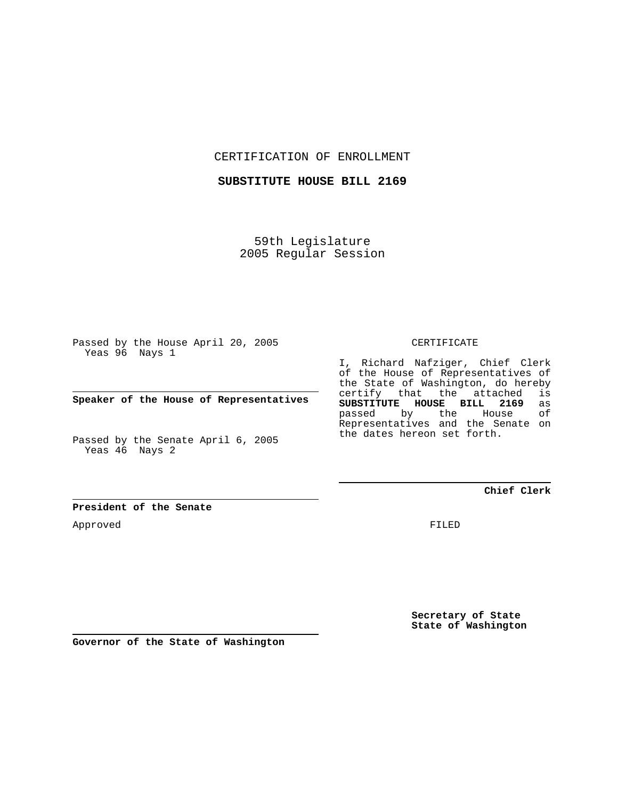CERTIFICATION OF ENROLLMENT

**SUBSTITUTE HOUSE BILL 2169**

59th Legislature 2005 Regular Session

Passed by the House April 20, 2005 Yeas 96 Nays 1

**Speaker of the House of Representatives**

Passed by the Senate April 6, 2005 Yeas 46 Nays 2

**President of the Senate**

Approved

CERTIFICATE

I, Richard Nafziger, Chief Clerk of the House of Representatives of the State of Washington, do hereby certify that the attached is **SUBSTITUTE HOUSE BILL 2169** as passed by the House Representatives and the Senate on the dates hereon set forth.

**Chief Clerk**

FILED

**Secretary of State State of Washington**

**Governor of the State of Washington**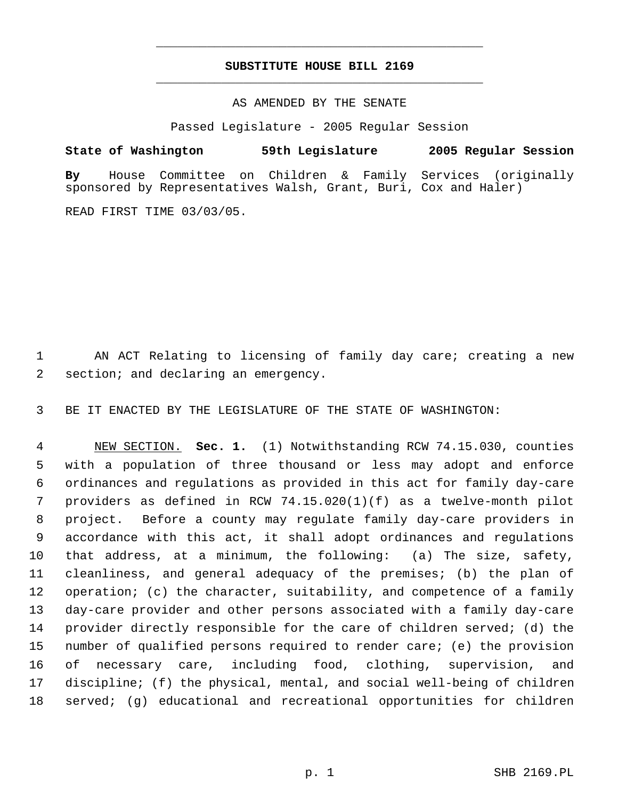## **SUBSTITUTE HOUSE BILL 2169** \_\_\_\_\_\_\_\_\_\_\_\_\_\_\_\_\_\_\_\_\_\_\_\_\_\_\_\_\_\_\_\_\_\_\_\_\_\_\_\_\_\_\_\_\_

\_\_\_\_\_\_\_\_\_\_\_\_\_\_\_\_\_\_\_\_\_\_\_\_\_\_\_\_\_\_\_\_\_\_\_\_\_\_\_\_\_\_\_\_\_

## AS AMENDED BY THE SENATE

Passed Legislature - 2005 Regular Session

## **State of Washington 59th Legislature 2005 Regular Session**

**By** House Committee on Children & Family Services (originally sponsored by Representatives Walsh, Grant, Buri, Cox and Haler)

READ FIRST TIME 03/03/05.

 AN ACT Relating to licensing of family day care; creating a new section; and declaring an emergency.

BE IT ENACTED BY THE LEGISLATURE OF THE STATE OF WASHINGTON:

 NEW SECTION. **Sec. 1.** (1) Notwithstanding RCW 74.15.030, counties with a population of three thousand or less may adopt and enforce ordinances and regulations as provided in this act for family day-care providers as defined in RCW 74.15.020(1)(f) as a twelve-month pilot project. Before a county may regulate family day-care providers in accordance with this act, it shall adopt ordinances and regulations that address, at a minimum, the following: (a) The size, safety, cleanliness, and general adequacy of the premises; (b) the plan of operation; (c) the character, suitability, and competence of a family day-care provider and other persons associated with a family day-care provider directly responsible for the care of children served; (d) the number of qualified persons required to render care; (e) the provision of necessary care, including food, clothing, supervision, and discipline; (f) the physical, mental, and social well-being of children served; (g) educational and recreational opportunities for children